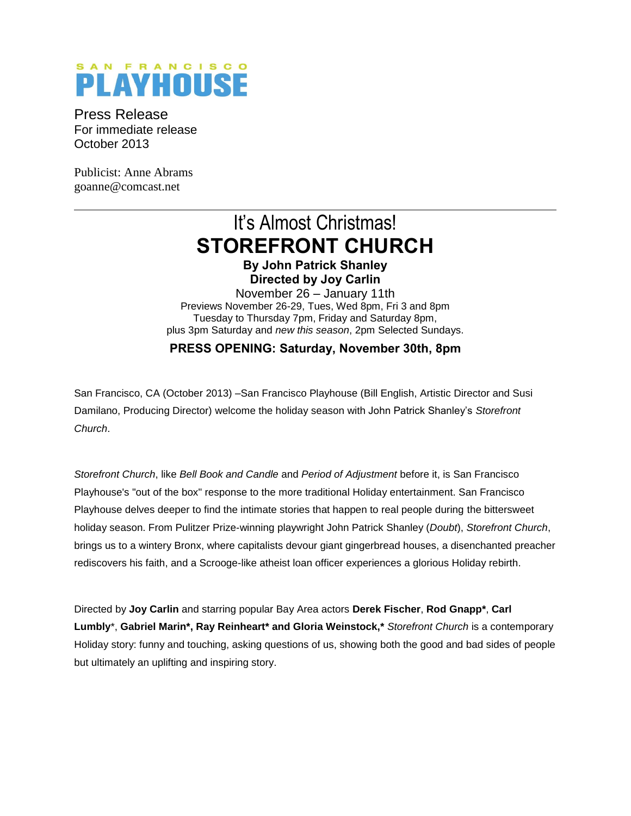## SAN FRANCISCO **PLAYHOUSE**

Press Release For immediate release October 2013

Publicist: Anne Abrams goanne@comcast.net

# It's Almost Christmas! **STOREFRONT CHURCH**

**By John Patrick Shanley Directed by Joy Carlin**

November 26 – January 11th Previews November 26-29, Tues, Wed 8pm, Fri 3 and 8pm Tuesday to Thursday 7pm, Friday and Saturday 8pm, plus 3pm Saturday and *new this season*, 2pm Selected Sundays.

**PRESS OPENING: Saturday, November 30th, 8pm**

San Francisco, CA (October 2013) –San Francisco Playhouse (Bill English, Artistic Director and Susi Damilano, Producing Director) welcome the holiday season with John Patrick Shanley's *Storefront Church*.

*Storefront Church*, like *Bell Book and Candle* and *Period of Adjustment* before it, is San Francisco Playhouse's "out of the box" response to the more traditional Holiday entertainment. San Francisco Playhouse delves deeper to find the intimate stories that happen to real people during the bittersweet holiday season. From Pulitzer Prize-winning playwright John Patrick Shanley (*Doubt*), *Storefront Church*, brings us to a wintery Bronx, where capitalists devour giant gingerbread houses, a disenchanted preacher rediscovers his faith, and a Scrooge-like atheist loan officer experiences a glorious Holiday rebirth.

Directed by **Joy Carlin** and starring popular Bay Area actors **Derek Fischer**, **Rod Gnapp\***, **Carl Lumbly**\*, **Gabriel Marin\*, Ray Reinheart\* and Gloria Weinstock,\*** *Storefront Church* is a contemporary Holiday story: funny and touching, asking questions of us, showing both the good and bad sides of people but ultimately an uplifting and inspiring story.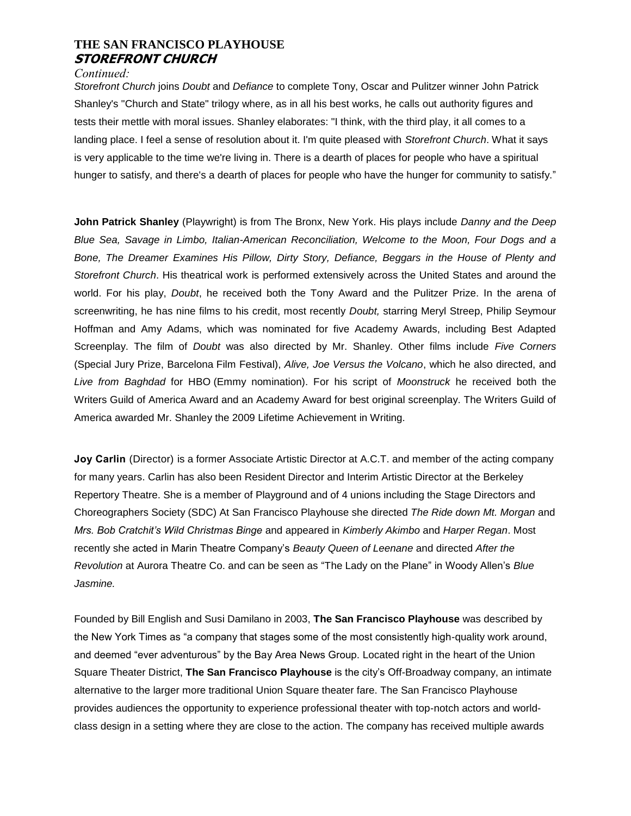## **THE SAN FRANCISCO PLAYHOUSE STOREFRONT CHURCH**

#### *Continued:*

*Storefront Church* joins *Doubt* and *Defiance* to complete Tony, Oscar and Pulitzer winner John Patrick Shanley's "Church and State" trilogy where, as in all his best works, he calls out authority figures and tests their mettle with moral issues. Shanley elaborates: "I think, with the third play, it all comes to a landing place. I feel a sense of resolution about it. I'm quite pleased with *Storefront Church*. What it says is very applicable to the time we're living in. There is a dearth of places for people who have a spiritual hunger to satisfy, and there's a dearth of places for people who have the hunger for community to satisfy."

**John Patrick Shanley** (Playwright) is from The Bronx, New York. His plays include *Danny and the Deep Blue Sea, Savage in Limbo, Italian-American Reconciliation, Welcome to the Moon, Four Dogs and a Bone, The Dreamer Examines His Pillow, Dirty Story, Defiance, Beggars in the House of Plenty and Storefront Church*. His theatrical work is performed extensively across the United States and around the world. For his play, *Doubt*, he received both the Tony Award and the Pulitzer Prize. In the arena of screenwriting, he has nine films to his credit, most recently *Doubt,* starring Meryl Streep, Philip Seymour Hoffman and Amy Adams, which was nominated for five Academy Awards, including Best Adapted Screenplay. The film of *Doubt* was also directed by Mr. Shanley. Other films include *Five Corners* (Special Jury Prize, Barcelona Film Festival), *Alive, Joe Versus the Volcano*, which he also directed, and *Live from Baghdad* for HBO (Emmy nomination). For his script of *Moonstruck* he received both the Writers Guild of America Award and an Academy Award for best original screenplay. The Writers Guild of America awarded Mr. Shanley the 2009 Lifetime Achievement in Writing.

**Joy Carlin** (Director) is a former Associate Artistic Director at A.C.T. and member of the acting company for many years. Carlin has also been Resident Director and Interim Artistic Director at the Berkeley Repertory Theatre. She is a member of Playground and of 4 unions including the Stage Directors and Choreographers Society (SDC) At San Francisco Playhouse she directed *The Ride down Mt. Morgan* and *Mrs. Bob Cratchit's Wild Christmas Binge* and appeared in *Kimberly Akimbo* and *Harper Regan*. Most recently she acted in Marin Theatre Company's *Beauty Queen of Leenane* and directed *After the Revolution* at Aurora Theatre Co. and can be seen as "The Lady on the Plane" in Woody Allen's *Blue Jasmine.*

Founded by Bill English and Susi Damilano in 2003, **The San Francisco Playhouse** was described by the New York Times as "a company that stages some of the most consistently high-quality work around, and deemed "ever adventurous" by the Bay Area News Group. Located right in the heart of the Union Square Theater District, **The San Francisco Playhouse** is the city's Off-Broadway company, an intimate alternative to the larger more traditional Union Square theater fare. The San Francisco Playhouse provides audiences the opportunity to experience professional theater with top-notch actors and worldclass design in a setting where they are close to the action. The company has received multiple awards